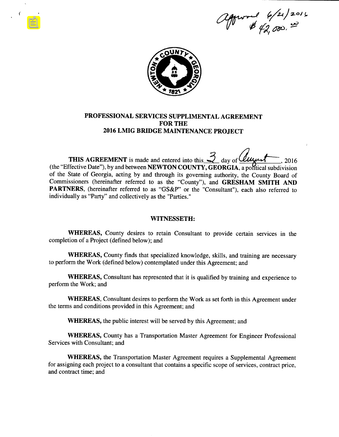2 proved 6/21/2016



Ť

## PROFESSIONAL SERVICES SUPPLIMENTAL AGREEMENT FOR THE 2016 LMIG BRIDGE MAINTENANCE PROJECT

THIS AGREEMENT is made and entered into this,  $\frac{3}{2}$  day of *Quyent*, 2016  $S$  (the "Effective Date"), by and between **NEWTON COUNTY, GEORGIA**, a political subdivision of the State of Georgia, acting by and through its governing authority, the County Board of Commissioners (hereinafter referred to as the "County"), and GRESHAM SMITH AND PARTNERS, (hereinafter referred to as "GS&P" or the "Consultant"), each also referred to individually as "Party" and collectively as the "Parties."

#### WITNESSETH:

WHEREAS, County desires to retain Consultant to provide certain services in the completion of <sup>a</sup> Project (defined below); and

WHEREAS, County finds that specialized knowledge, skills, and training are necessary to perform the Work (defined below) contemplated under this Agreement; and

WHEREAS, Consultant has represented that it is qualified by training and experience to perform the Work; and

WHEREAS, Consultant desires to perform the Work as set forth in this Agreement under the terms and conditions provided in this Agreement; and

WHEREAS, the public interest will be served by this Agreement; and

WHEREAS, County has <sup>a</sup> Transportation Master Agreement for Engineer Professional Services with Consultant; and

WHEREAS, the Transportation Master Agreement requires <sup>a</sup> Supplemental Agreement for assigning each project to <sup>a</sup> consultant that contains <sup>a</sup> specific scope of services, contract price, and contract time; and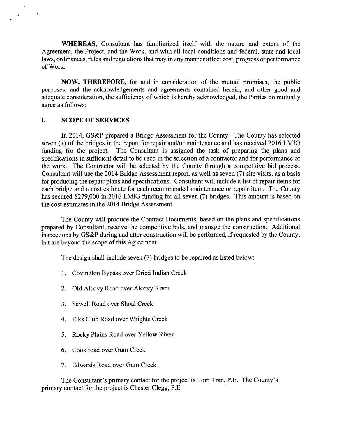WHEREAS, Consultant has familiarized itself with the nature and extent of the Agreement, the Project, and the Work, and with all local conditions and federal, state and local laws, ordinances, rules and regulations that may in any manner affect cost, progress or performance of Work.

NOW, THEREFORE, for and in consideration of the mutual promises, the public purposes, and the acknowledgements and agreements contained herein, and other good and adequate consideration, the sufficiency of which is hereby acknowledged, the Parties do mutually agree as follows:

## I. SCOPE OF SERVICES

4

In 2014, GS&P prepared a Bridge Assessment for the County. The County has selected seven (7) of the bridges in the report for repair and/ or maintenance and has received 2016 LMIG funding for the project. The Consultant is assigned the task of preparing the plans and specifications in sufficient detail to be used in the selection of a contractor and for performance of the work. The Contractor will be selected by the County through <sup>a</sup> competitive bid process. Consultant will use the 2014 Bridge Assessment report, as well as seven (7) site visits, as a basis for producing the repair plans and specifications. Consultant will include a list of repair items for each bridge and <sup>a</sup> cost estimate for each recommended maintenance or repair item. The County has secured \$279,000 in 2016 LMIG funding for all seven (7) bridges. This amount is based on the cost estimates in the 2014 Bridge Assessment.

The County will produce the Contract Documents, based on the plans and specifications prepared by Consultant, receive the competitive bids, and manage the construction. Additional inspections by GS&P during and after construction will be performed, if requested by the County, but are beyond the scope of this Agreement.

The design shall include seven (7) bridges to be repaired as listed below:

- 1. Covington Bypass over Dried Indian Creek
- 2. Old Alcovy Road over Alcovy River
- 3. Sewell Road over Shoal Creek
- 4. Elks Club Road over Wrights Creek
- 5. Rocky Plains Road over Yellow River
- 6. Cook road over Gum Creek
- 7. Edwards Road over Gum Creek

The Consultant's primary contact for the project is Tom Tran, P.E. The County's primary contact for the project is Chester Clegg, P.E.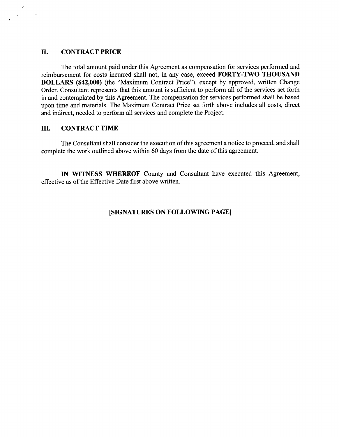## II. CONTRACT PRICE

The total amount paid under this Agreement as compensation for services performed and reimbursement for costs incurred shall not, in any case, exceed FORTY-TWO THOUSAND DOLLARS (\$42,000) (the "Maximum Contract Price"), except by approved, written Change Order. Consultant represents that this amount is sufficient to perform all of the services set forth in and contemplated by this Agreement. The compensation for services performed shall be based upon time and materials. The Maximum Contract Price set forth above includes all costs, direct and indirect, needed to perform all services and complete the Project.

# III. CONTRACT TIME

The Consultant shall consider the execution of this agreement a notice to proceed, and shall complete the work outlined above within 60 days from the date of this agreement.

IN WITNESS WHEREOF County and Consultant have executed this Agreement, effective as of the Effective Date first above written.

## SIGNATURES ON FOLLOWING PAGE]